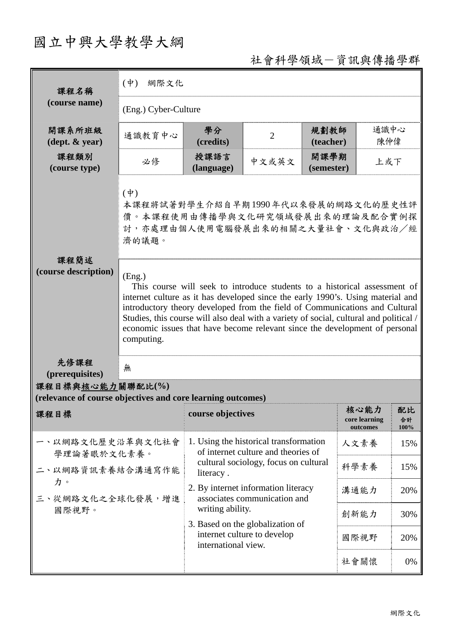## 國立中興大學教學大綱

社會科學領域-資訊與傳播學群

| 課程名稱                                                                            | $(\phi)$<br>網際文化                                                                                                                                                                                                                                                                                                                                                                                                                             |                                                                                        |                                                                     |                    |                                   |                  |  |  |  |
|---------------------------------------------------------------------------------|----------------------------------------------------------------------------------------------------------------------------------------------------------------------------------------------------------------------------------------------------------------------------------------------------------------------------------------------------------------------------------------------------------------------------------------------|----------------------------------------------------------------------------------------|---------------------------------------------------------------------|--------------------|-----------------------------------|------------------|--|--|--|
| (course name)                                                                   | (Eng.) Cyber-Culture                                                                                                                                                                                                                                                                                                                                                                                                                         |                                                                                        |                                                                     |                    |                                   |                  |  |  |  |
| 開課系所班級<br>$(\text{dept.} \& \text{ year})$                                      | 通識教育中心                                                                                                                                                                                                                                                                                                                                                                                                                                       | 學分<br>(credits)                                                                        | $\overline{2}$                                                      | 規劃教師<br>(teacher)  | 通識中心<br>陳仲偉                       |                  |  |  |  |
| 課程類別<br>(course type)                                                           | 必修                                                                                                                                                                                                                                                                                                                                                                                                                                           | 授課語言<br>(language)                                                                     | 中文或英文                                                               | 開課學期<br>(semester) | 上或下                               |                  |  |  |  |
|                                                                                 | $(\dot{\Psi})$<br>本課程將試著對學生介紹自早期1990年代以來發展的網路文化的歷史性評<br>價。本課程使用由傳播學與文化研究領域發展出來的理論及配合實例探<br>討,亦處理由個人使用電腦發展出來的相關之大量社會、文化與政治/經<br>濟的議題。                                                                                                                                                                                                                                                                                                         |                                                                                        |                                                                     |                    |                                   |                  |  |  |  |
| 課程簡述<br>(course description)                                                    | (Eng.)<br>This course will seek to introduce students to a historical assessment of<br>internet culture as it has developed since the early 1990's. Using material and<br>introductory theory developed from the field of Communications and Cultural<br>Studies, this course will also deal with a variety of social, cultural and political /<br>economic issues that have become relevant since the development of personal<br>computing. |                                                                                        |                                                                     |                    |                                   |                  |  |  |  |
| 先修課程<br>(prerequisites)                                                         | 無                                                                                                                                                                                                                                                                                                                                                                                                                                            |                                                                                        |                                                                     |                    |                                   |                  |  |  |  |
| 課程目標與核心能力關聯配比(%)<br>(relevance of course objectives and core learning outcomes) |                                                                                                                                                                                                                                                                                                                                                                                                                                              |                                                                                        |                                                                     |                    |                                   |                  |  |  |  |
| 課程目標                                                                            |                                                                                                                                                                                                                                                                                                                                                                                                                                              | course objectives                                                                      |                                                                     |                    | 核心能力<br>core learning<br>outcomes | 配比<br>合計<br>100% |  |  |  |
| 一、以網路文化歷史沿革與文化社會<br>學理論著眼於文化素養。<br>二、以網路資訊素養結合溝通寫作能                             |                                                                                                                                                                                                                                                                                                                                                                                                                                              | 1. Using the historical transformation<br>of internet culture and theories of          |                                                                     |                    | 人文素養                              | 15%              |  |  |  |
|                                                                                 |                                                                                                                                                                                                                                                                                                                                                                                                                                              | cultural sociology, focus on cultural<br>literacy.                                     |                                                                     |                    | 科學素養                              | 15%              |  |  |  |
| 力。<br>三、從網路文化之全球化發展,增進                                                          |                                                                                                                                                                                                                                                                                                                                                                                                                                              |                                                                                        | 2. By internet information literacy<br>associates communication and |                    | 溝通能力                              | 20%              |  |  |  |
| 國際視野。                                                                           |                                                                                                                                                                                                                                                                                                                                                                                                                                              | writing ability.                                                                       |                                                                     |                    | 創新能力                              | 30%              |  |  |  |
|                                                                                 |                                                                                                                                                                                                                                                                                                                                                                                                                                              | 3. Based on the globalization of<br>internet culture to develop<br>international view. |                                                                     |                    | 國際視野                              | 20%              |  |  |  |
|                                                                                 |                                                                                                                                                                                                                                                                                                                                                                                                                                              |                                                                                        |                                                                     |                    | 社會關懷                              | 0%               |  |  |  |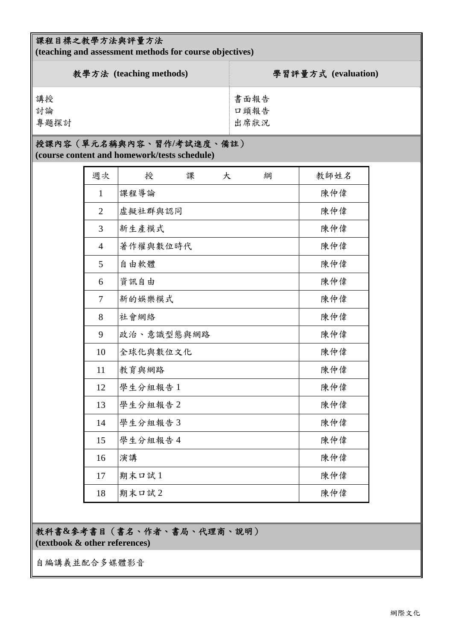## 課程目標之教學方法與評量方法

**(teaching and assessment methods for course objectives)** 

| 教學方法 (teaching methods) | 學習評量方式 (evaluation) |
|-------------------------|---------------------|
| 講授                      | 書面報告                |
| 討論                      | 口頭報告                |
| 專題探討                    | 出席狀況                |

## 授課內容(單元名稱與內容、習作**/**考試進度、備註)

**(course content and homework/tests schedule)** 

| 週次             | 授          | 課 | 大 | 綱 | 教師姓名 |
|----------------|------------|---|---|---|------|
| $\mathbf{1}$   | 課程導論       |   |   |   | 陳仲偉  |
| $\overline{2}$ | 虛擬社群與認同    |   |   |   | 陳仲偉  |
| 3              | 新生產模式      |   |   |   | 陳仲偉  |
| $\overline{4}$ | 著作權與數位時代   |   |   |   | 陳仲偉  |
| 5              | 自由軟體       |   |   |   | 陳仲偉  |
| 6              | 資訊自由       |   |   |   | 陳仲偉  |
| 7              | 新的娱樂模式     |   |   |   | 陳仲偉  |
| 8              | 社會網絡       |   |   |   | 陳仲偉  |
| 9              | 政治、意識型態與網路 |   |   |   | 陳仲偉  |
| 10             | 全球化與數位文化   |   |   |   | 陳仲偉  |
| 11             | 教育與網路      |   |   |   | 陳仲偉  |
| 12             | 學生分組報告1    |   |   |   | 陳仲偉  |
| 13             | 學生分組報告2    |   |   |   | 陳仲偉  |
| 14             | 學生分組報告3    |   |   |   | 陳仲偉  |
| 15             | 學生分組報告4    |   |   |   | 陳仲偉  |
| 16             | 演講         |   |   |   | 陳仲偉  |
| 17             | 期末口試1      |   |   |   | 陳仲偉  |
| 18             | 期末口試2      |   |   |   | 陳仲偉  |

教科書**&**參考書目(書名、作者、書局、代理商、說明)

**(textbook & other references)**

自編講義並配合多媒體影音